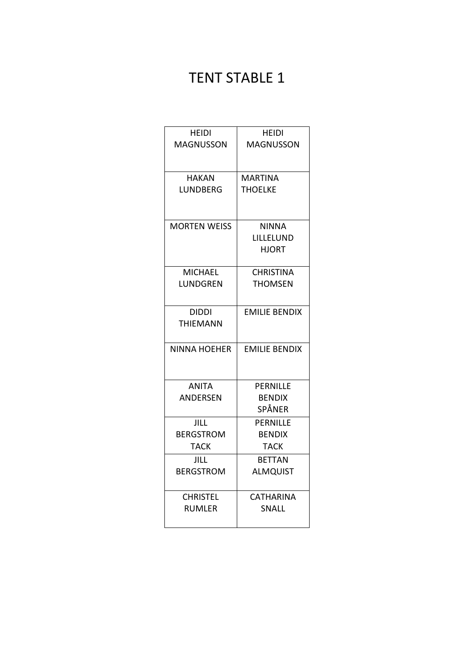# TENT STABLE 1

| HEIDI               | <b>HEIDI</b>         |
|---------------------|----------------------|
| <b>MAGNUSSON</b>    | <b>MAGNUSSON</b>     |
|                     |                      |
| <b>HAKAN</b>        | <b>MARTINA</b>       |
| LUNDBERG            | THOELKE              |
|                     |                      |
|                     |                      |
| <b>MORTEN WEISS</b> | <b>NINNA</b>         |
|                     | LILLELUND            |
|                     | HJORT                |
|                     |                      |
| <b>MICHAEL</b>      | <b>CHRISTINA</b>     |
| LUNDGREN            | <b>THOMSEN</b>       |
|                     |                      |
| <b>DIDDI</b>        | <b>EMILIE BENDIX</b> |
| <b>THIEMANN</b>     |                      |
| <b>NINNA HOEHER</b> | <b>EMILIE BENDIX</b> |
|                     |                      |
|                     |                      |
| <b>ANITA</b>        | <b>PERNILLE</b>      |
| ANDERSEN            | <b>BENDIX</b>        |
|                     | SPÅNER               |
| <b>JILL</b>         | <b>PERNILLE</b>      |
| <b>BERGSTROM</b>    | <b>BENDIX</b>        |
| <b>TACK</b>         | TACK                 |
| JILL                | <b>BETTAN</b>        |
| <b>BERGSTROM</b>    | <b>ALMQUIST</b>      |
|                     |                      |
| <b>CHRISTEL</b>     | <b>CATHARINA</b>     |
| <b>RUMLER</b>       | <b>SNALL</b>         |
|                     |                      |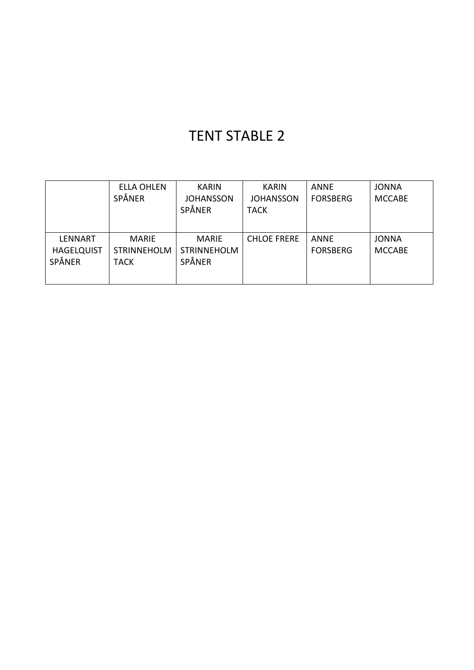### TENT STABLE 2

|                                               | <b>ELLA OHLEN</b><br>SPÅNER                       | <b>KARIN</b><br><b>JOHANSSON</b><br>SPÅNER   | <b>KARIN</b><br><b>JOHANSSON</b><br><b>TACK</b> | <b>ANNE</b><br><b>FORSBERG</b> | <b>JONNA</b><br><b>MCCABE</b> |
|-----------------------------------------------|---------------------------------------------------|----------------------------------------------|-------------------------------------------------|--------------------------------|-------------------------------|
| <b>LENNART</b><br><b>HAGELQUIST</b><br>SPÅNER | <b>MARIE</b><br><b>STRINNEHOLM</b><br><b>TACK</b> | <b>MARIE</b><br><b>STRINNEHOLM</b><br>SPÅNER | <b>CHLOE FRERE</b>                              | <b>ANNE</b><br><b>FORSBERG</b> | <b>JONNA</b><br><b>MCCABE</b> |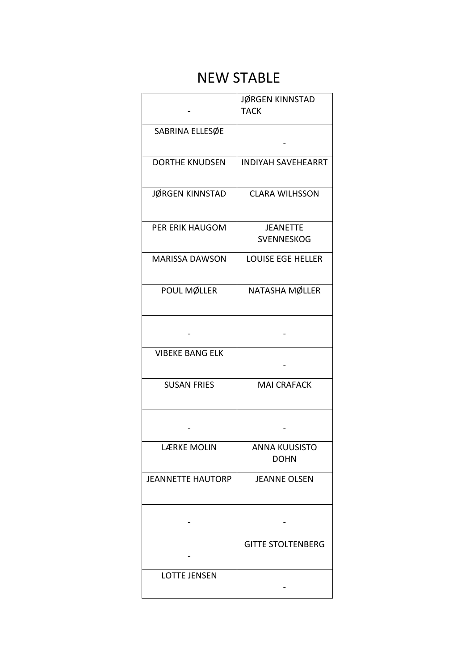### NEW STABLE

|                          | JØRGEN KINNSTAD<br><b>TACK</b>       |  |
|--------------------------|--------------------------------------|--|
| SABRINA ELLESØE          |                                      |  |
| <b>DORTHE KNUDSEN</b>    | <b>INDIYAH SAVEHEARRT</b>            |  |
| JØRGEN KINNSTAD          | <b>CLARA WILHSSON</b>                |  |
| PER ERIK HAUGOM          | <b>JEANETTE</b><br><b>SVENNESKOG</b> |  |
| <b>MARISSA DAWSON</b>    | <b>LOUISE EGE HELLER</b>             |  |
| POUL MØLLER              | NATASHA MØLLER                       |  |
|                          |                                      |  |
| <b>VIBEKE BANG ELK</b>   |                                      |  |
| <b>SUSAN FRIES</b>       | <b>MAI CRAFACK</b>                   |  |
|                          |                                      |  |
| LÆRKE MOLIN              | ANNA KUUSISTO<br><b>DOHN</b>         |  |
| <b>JEANNETTE HAUTORP</b> | <b>JEANNE OLSEN</b>                  |  |
|                          |                                      |  |
|                          | <b>GITTE STOLTENBERG</b>             |  |
| <b>LOTTE JENSEN</b>      |                                      |  |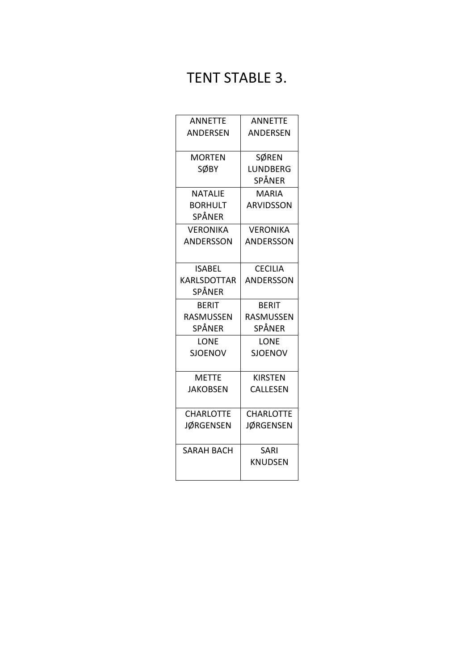## TENT STABLE 3.

| <b>ANNETTE</b>     | <b>ANNETTE</b>   |
|--------------------|------------------|
| <b>ANDERSEN</b>    | <b>ANDERSEN</b>  |
|                    |                  |
| <b>MORTEN</b>      | <b>SØREN</b>     |
| SØBY               | LUNDBERG         |
|                    | SPÅNER           |
| <b>NATALIE</b>     | <b>MARIA</b>     |
| <b>BORHULT</b>     | <b>ARVIDSSON</b> |
| SPÅNER             |                  |
| <b>VERONIKA</b>    | <b>VERONIKA</b>  |
| ANDERSSON          | <b>ANDERSSON</b> |
|                    |                  |
| <b>ISABEL</b>      | <b>CECILIA</b>   |
| <b>KARLSDOTTAR</b> | <b>ANDERSSON</b> |
| SPÅNER             |                  |
| <b>BERIT</b>       | <b>BERIT</b>     |
| RASMUSSEN          | RASMUSSEN        |
| SPÅNER             | SPÅNER           |
| LONE               | LONE             |
| <b>SJOENOV</b>     | <b>SJOENOV</b>   |
|                    |                  |
| <b>METTE</b>       | <b>KIRSTEN</b>   |
| <b>JAKOBSEN</b>    | CALLESEN         |
|                    |                  |
| <b>CHARLOTTE</b>   | <b>CHARLOTTE</b> |
| <b>JØRGENSEN</b>   | <b>JØRGENSEN</b> |
|                    |                  |
| <b>SARAH BACH</b>  | SARI             |
|                    | <b>KNUDSEN</b>   |
|                    |                  |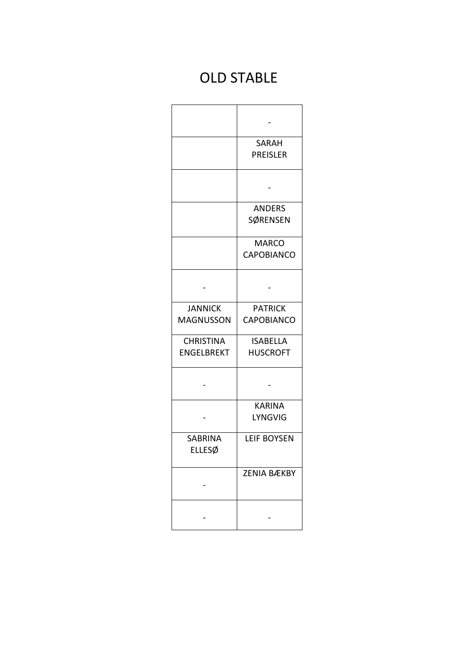# OLD STABLE

|                                       | <b>SARAH</b><br><b>PREISLER</b>     |
|---------------------------------------|-------------------------------------|
|                                       |                                     |
|                                       | <b>ANDERS</b><br>SØRENSEN           |
|                                       | <b>MARCO</b><br><b>CAPOBIANCO</b>   |
|                                       |                                     |
| <b>JANNICK</b><br><b>MAGNUSSON</b>    | <b>PATRICK</b><br><b>CAPOBIANCO</b> |
| <b>CHRISTINA</b><br><b>ENGELBREKT</b> | <b>ISABELLA</b><br><b>HUSCROFT</b>  |
|                                       |                                     |
|                                       | <b>KARINA</b><br><b>LYNGVIG</b>     |
| <b>SABRINA</b><br><b>ELLESØ</b>       | <b>LEIF BOYSEN</b>                  |
|                                       | <b>ZENIA BÆKBY</b>                  |
|                                       |                                     |